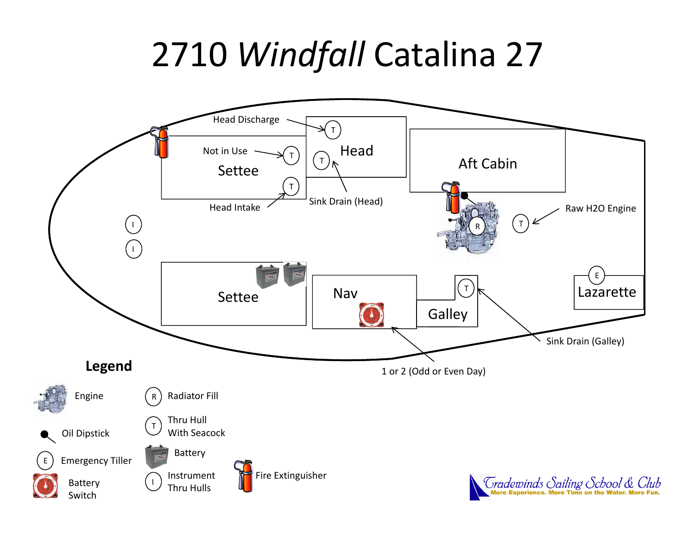# 2710 *Windfall* Catalina 27

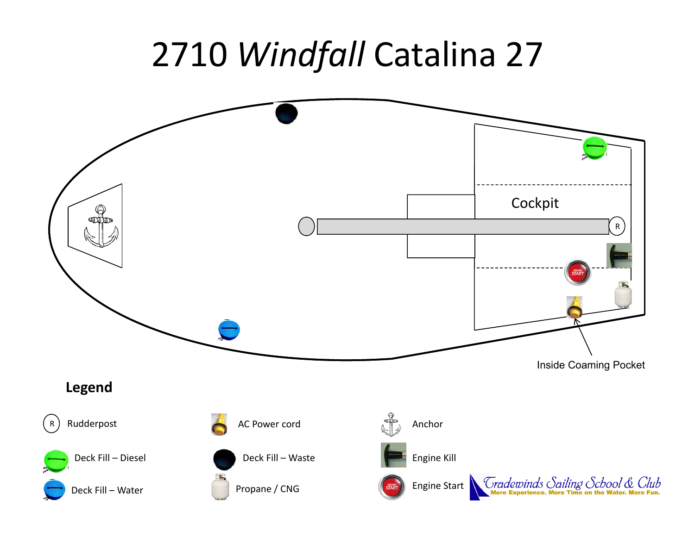## 2710 *Windfall* Catalina 27

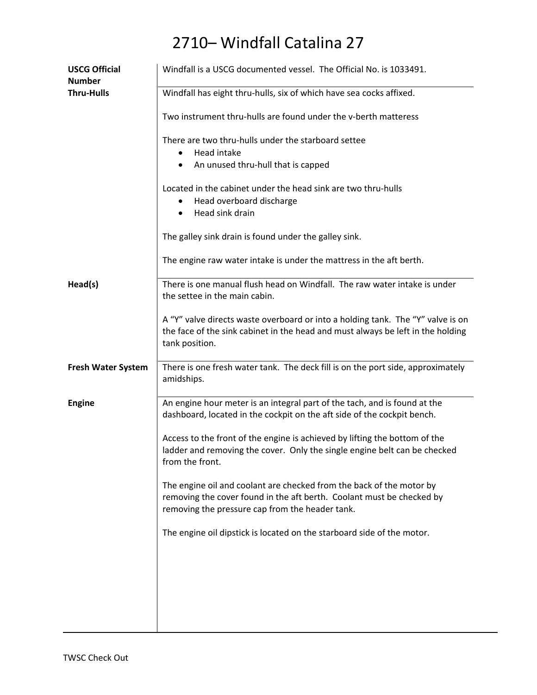### 2710– Windfall Catalina 27

| <b>USCG Official</b><br><b>Number</b> | Windfall is a USCG documented vessel. The Official No. is 1033491.                                                                                                                               |
|---------------------------------------|--------------------------------------------------------------------------------------------------------------------------------------------------------------------------------------------------|
| <b>Thru-Hulls</b>                     | Windfall has eight thru-hulls, six of which have sea cocks affixed.                                                                                                                              |
|                                       | Two instrument thru-hulls are found under the v-berth matteress                                                                                                                                  |
|                                       | There are two thru-hulls under the starboard settee<br>Head intake                                                                                                                               |
|                                       | An unused thru-hull that is capped<br>$\bullet$                                                                                                                                                  |
|                                       | Located in the cabinet under the head sink are two thru-hulls<br>Head overboard discharge<br>Head sink drain<br>$\bullet$                                                                        |
|                                       | The galley sink drain is found under the galley sink.                                                                                                                                            |
|                                       | The engine raw water intake is under the mattress in the aft berth.                                                                                                                              |
| Head(s)                               | There is one manual flush head on Windfall. The raw water intake is under<br>the settee in the main cabin.                                                                                       |
|                                       | A "Y" valve directs waste overboard or into a holding tank. The "Y" valve is on<br>the face of the sink cabinet in the head and must always be left in the holding<br>tank position.             |
| <b>Fresh Water System</b>             | There is one fresh water tank. The deck fill is on the port side, approximately<br>amidships.                                                                                                    |
| <b>Engine</b>                         | An engine hour meter is an integral part of the tach, and is found at the<br>dashboard, located in the cockpit on the aft side of the cockpit bench.                                             |
|                                       | Access to the front of the engine is achieved by lifting the bottom of the<br>ladder and removing the cover. Only the single engine belt can be checked<br>from the front.                       |
|                                       | The engine oil and coolant are checked from the back of the motor by<br>removing the cover found in the aft berth. Coolant must be checked by<br>removing the pressure cap from the header tank. |
|                                       | The engine oil dipstick is located on the starboard side of the motor.                                                                                                                           |
|                                       |                                                                                                                                                                                                  |
|                                       |                                                                                                                                                                                                  |
|                                       |                                                                                                                                                                                                  |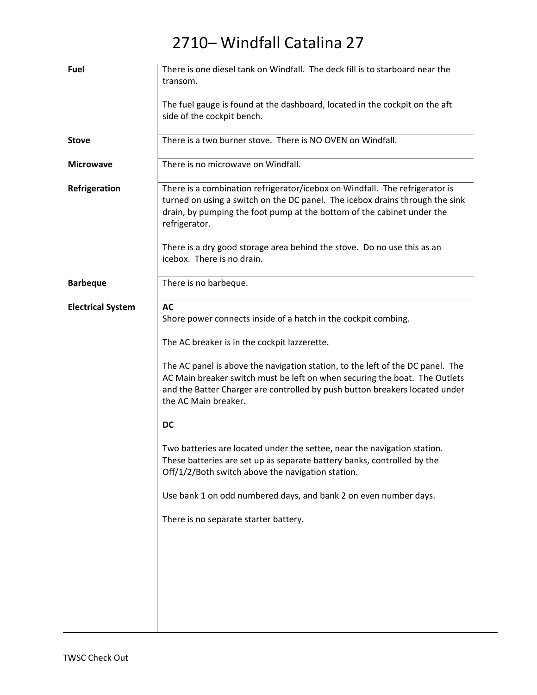#### 2710– Windfall Catalina 27

| Fuel                     | There is one diesel tank on Windfall. The deck fill is to starboard near the<br>transom.                                                                                                                                                                            |
|--------------------------|---------------------------------------------------------------------------------------------------------------------------------------------------------------------------------------------------------------------------------------------------------------------|
|                          | The fuel gauge is found at the dashboard, located in the cockpit on the aft<br>side of the cockpit bench.                                                                                                                                                           |
| <b>Stove</b>             | There is a two burner stove. There is NO OVEN on Windfall.                                                                                                                                                                                                          |
| <b>Microwave</b>         | There is no microwave on Windfall.                                                                                                                                                                                                                                  |
| Refrigeration            | There is a combination refrigerator/icebox on Windfall. The refrigerator is<br>turned on using a switch on the DC panel. The icebox drains through the sink<br>drain, by pumping the foot pump at the bottom of the cabinet under the<br>refrigerator.              |
|                          | There is a dry good storage area behind the stove. Do no use this as an<br>icebox. There is no drain.                                                                                                                                                               |
| <b>Barbeque</b>          | There is no barbeque.                                                                                                                                                                                                                                               |
| <b>Electrical System</b> | <b>AC</b><br>Shore power connects inside of a hatch in the cockpit combing.                                                                                                                                                                                         |
|                          | The AC breaker is in the cockpit lazzerette.                                                                                                                                                                                                                        |
|                          | The AC panel is above the navigation station, to the left of the DC panel. The<br>AC Main breaker switch must be left on when securing the boat. The Outlets<br>and the Batter Charger are controlled by push button breakers located under<br>the AC Main breaker. |
|                          | <b>DC</b>                                                                                                                                                                                                                                                           |
|                          | Two batteries are located under the settee, near the navigation station.<br>These batteries are set up as separate battery banks, controlled by the<br>Off/1/2/Both switch above the navigation station.                                                            |
|                          | Use bank 1 on odd numbered days, and bank 2 on even number days.                                                                                                                                                                                                    |
|                          | There is no separate starter battery.                                                                                                                                                                                                                               |
|                          |                                                                                                                                                                                                                                                                     |
|                          |                                                                                                                                                                                                                                                                     |
|                          |                                                                                                                                                                                                                                                                     |
|                          |                                                                                                                                                                                                                                                                     |